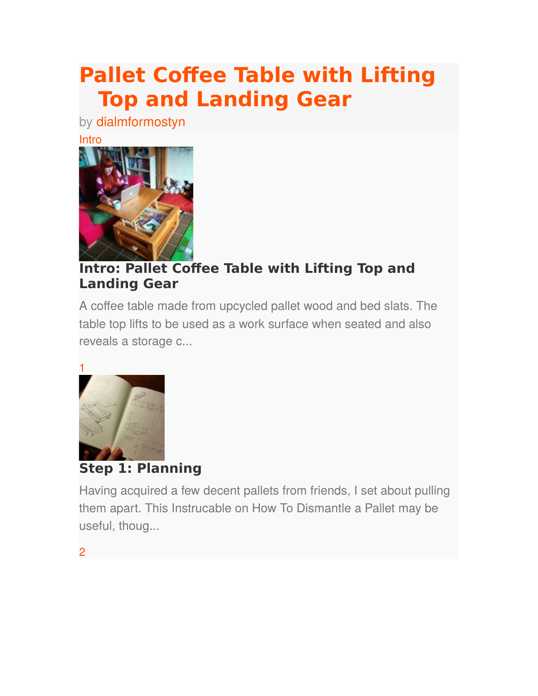# **[Pallet Coffee Table with Lifting](http://www.instructables.com/id/Lift-top-Pallet-Coffee-Table-with-Landing-Gear/)  [Top and Landing Gear](http://www.instructables.com/id/Lift-top-Pallet-Coffee-Table-with-Landing-Gear/)**

by [dialmformostyn](http://www.instructables.com/member/dialmformostyn/)

#### [Intro](http://www.instructables.com/id/Lift-top-Pallet-Coffee-Table-with-Landing-Gear/#step0)



#### **Intro: Pallet Coffee Table with Lifting Top and Landing Gear**

A coffee table made from upcycled pallet wood and bed slats. The table top lifts to be used as a work surface when seated and also reveals a storage c...



#### **Step 1: Planning**

Having acquired a few decent pallets from friends, I set about pulling them apart. This Instrucable on How To Dismantle a Pallet may be useful, thoug...

[2](http://www.instructables.com/id/Lift-top-Pallet-Coffee-Table-with-Landing-Gear/step2/Measure-cut-sand-glue-screw-repeat/)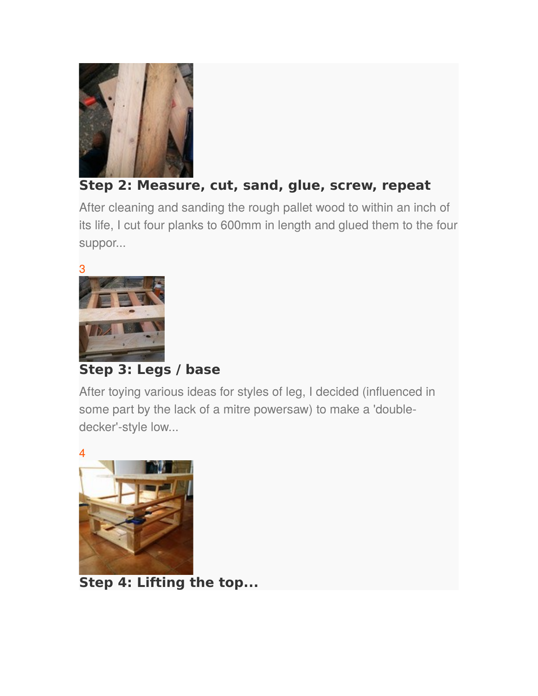

### **Step 2: Measure, cut, sand, glue, screw, repeat**

After cleaning and sanding the rough pallet wood to within an inch of its life, I cut four planks to 600mm in length and glued them to the four suppor...



#### **Step 3: Legs / base**

After toying various ideas for styles of leg, I decided (influenced in some part by the lack of a mitre powersaw) to make a 'doubledecker'-style low...



**Step 4: Lifting the top...**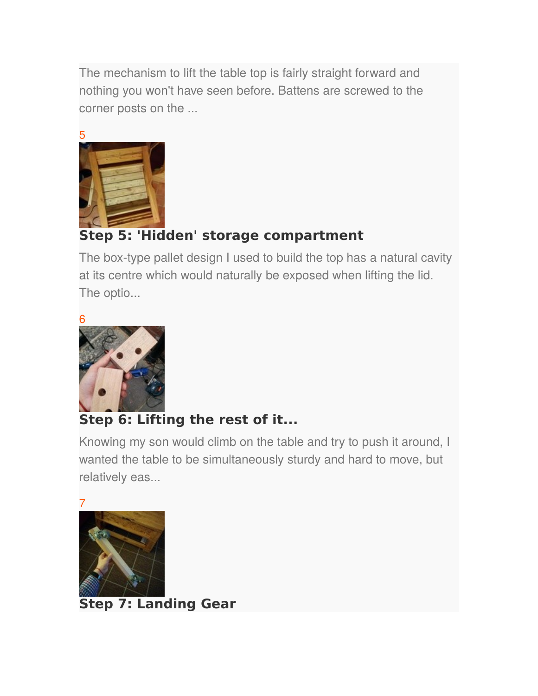The mechanism to lift the table top is fairly straight forward and nothing you won't have seen before. Battens are screwed to the corner posts on the ...



### **Step 5: 'Hidden' storage compartment**

The box-type pallet design I used to build the top has a natural cavity at its centre which would naturally be exposed when lifting the lid. The optio...

[6](http://www.instructables.com/id/Lift-top-Pallet-Coffee-Table-with-Landing-Gear/step6/Lifting-the-rest-of-it/)



#### **Step 6: Lifting the rest of it...**

Knowing my son would climb on the table and try to push it around, I wanted the table to be simultaneously sturdy and hard to move, but relatively eas...



**Step 7: Landing Gear**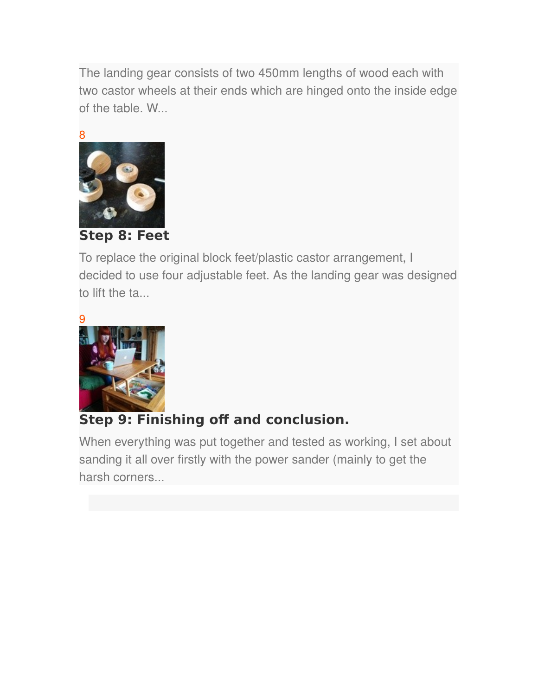The landing gear consists of two 450mm lengths of wood each with two castor wheels at their ends which are hinged onto the inside edge of the table. W...



**Step 8: Feet**

To replace the original block feet/plastic castor arrangement, I decided to use four adjustable feet. As the landing gear was designed to lift the ta...

[9](http://www.instructables.com/id/Lift-top-Pallet-Coffee-Table-with-Landing-Gear/step9/Finishing-off-and-conclusion/)



## **Step 9: Finishing off and conclusion.**

When everything was put together and tested as working, I set about sanding it all over firstly with the power sander (mainly to get the harsh corners...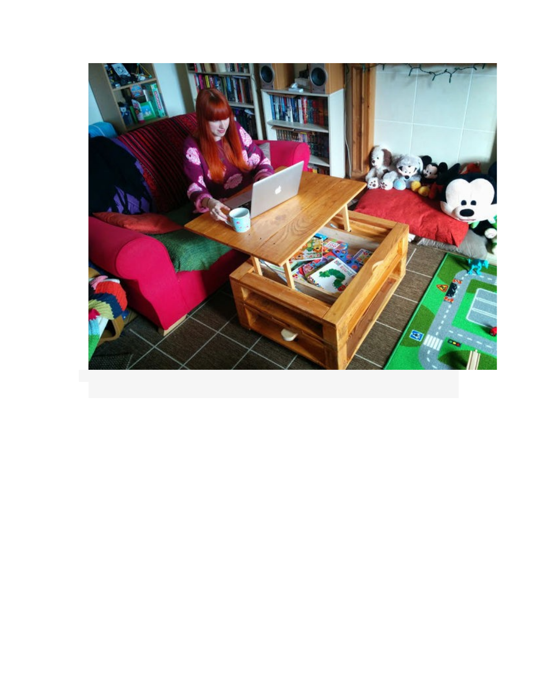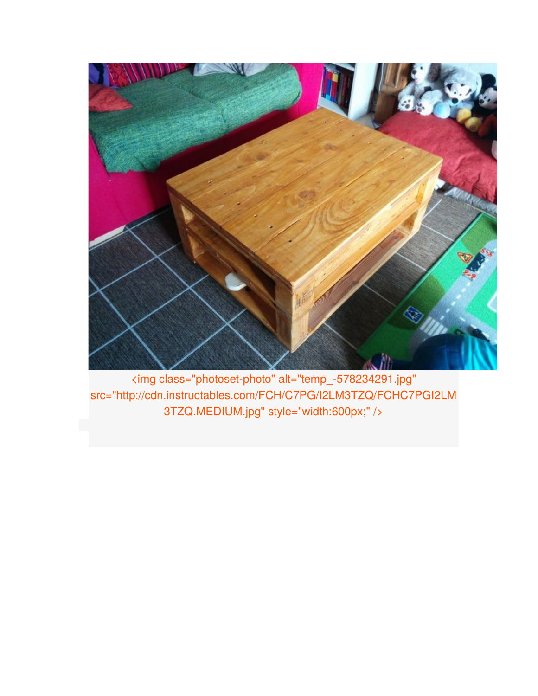![](_page_5_Picture_0.jpeg)

<img class="photoset-photo" alt="temp\_-578234291.jpg" [src="http://cdn.instructables.com/FCH/C7PG/I2LM3TZQ/FCHC7PGI2LM](http://cdn.instructables.com/FCH/C7PG/I2LM3TZQ/FCHC7PGI2LM3TZQ.LARGE.jpg) [3TZQ.MEDIUM.jpg" style="width:600px;" />](http://cdn.instructables.com/FCH/C7PG/I2LM3TZQ/FCHC7PGI2LM3TZQ.LARGE.jpg)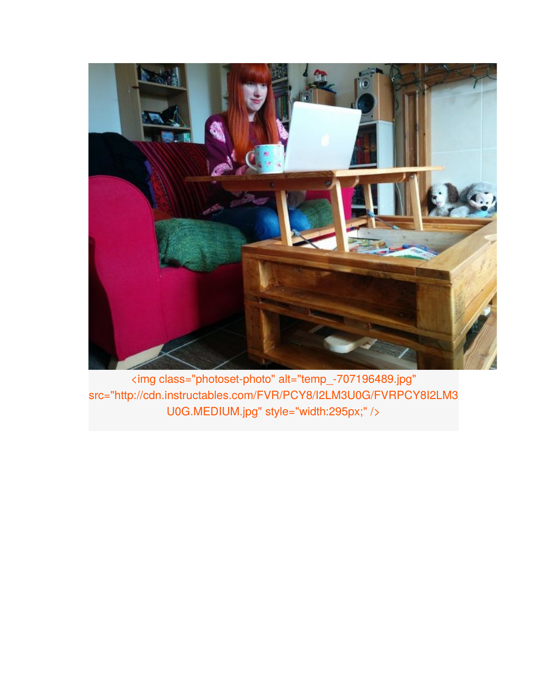![](_page_6_Picture_0.jpeg)

<img class="photoset-photo" alt="temp\_-707196489.jpg" [src="http://cdn.instructables.com/FVR/PCY8/I2LM3U0G/FVRPCY8I2LM3](http://cdn.instructables.com/FVR/PCY8/I2LM3U0G/FVRPCY8I2LM3U0G.LARGE.jpg) [U0G.MEDIUM.jpg" style="width:295px;" />](http://cdn.instructables.com/FVR/PCY8/I2LM3U0G/FVRPCY8I2LM3U0G.LARGE.jpg)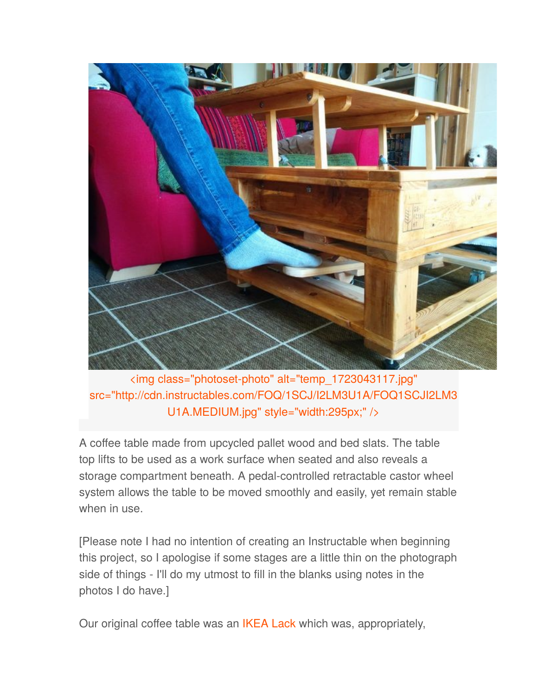![](_page_7_Picture_0.jpeg)

<img class="photoset-photo" alt="temp\_1723043117.jpg" [src="http://cdn.instructables.com/FOQ/1SCJ/I2LM3U1A/FOQ1SCJI2LM3](http://cdn.instructables.com/FOQ/1SCJ/I2LM3U1A/FOQ1SCJI2LM3U1A.LARGE.jpg) [U1A.MEDIUM.jpg" style="width:295px;" />](http://cdn.instructables.com/FOQ/1SCJ/I2LM3U1A/FOQ1SCJI2LM3U1A.LARGE.jpg)

A coffee table made from upcycled pallet wood and bed slats. The table top lifts to be used as a work surface when seated and also reveals a storage compartment beneath. A pedal-controlled retractable castor wheel system allows the table to be moved smoothly and easily, yet remain stable when in use.

[Please note I had no intention of creating an Instructable when beginning this project, so I apologise if some stages are a little thin on the photograph side of things - I'll do my utmost to fill in the blanks using notes in the photos I do have.]

Our original coffee table was an [IKEA Lack](http://www.ikea.com/gb/en/catalog/products/00095036/) which was, appropriately,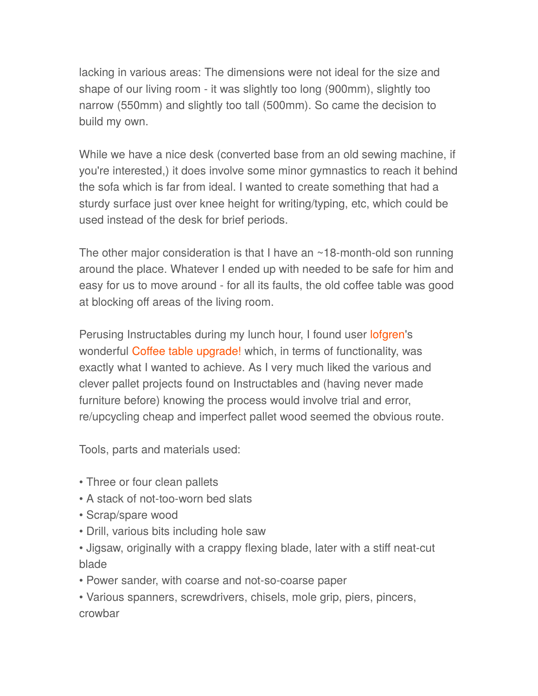lacking in various areas: The dimensions were not ideal for the size and shape of our living room - it was slightly too long (900mm), slightly too narrow (550mm) and slightly too tall (500mm). So came the decision to build my own.

While we have a nice desk (converted base from an old sewing machine, if you're interested,) it does involve some minor gymnastics to reach it behind the sofa which is far from ideal. I wanted to create something that had a sturdy surface just over knee height for writing/typing, etc, which could be used instead of the desk for brief periods.

The other major consideration is that I have an ~18-month-old son running around the place. Whatever I ended up with needed to be safe for him and easy for us to move around - for all its faults, the old coffee table was good at blocking off areas of the living room.

Perusing Instructables during my lunch hour, I found user [lofgren'](http://www.instructables.com/member/lofgren/)s wonderful [Coffee table upgrade!](http://www.instructables.com/id/Coffee-table-upgrade/) which, in terms of functionality, was exactly what I wanted to achieve. As I very much liked the various and clever pallet projects found on Instructables and (having never made furniture before) knowing the process would involve trial and error, re/upcycling cheap and imperfect pallet wood seemed the obvious route.

Tools, parts and materials used:

- Three or four clean pallets
- A stack of not-too-worn bed slats
- Scrap/spare wood
- Drill, various bits including hole saw
- Jigsaw, originally with a crappy flexing blade, later with a stiff neat-cut blade
- Power sander, with coarse and not-so-coarse paper

• Various spanners, screwdrivers, chisels, mole grip, piers, pincers, crowbar